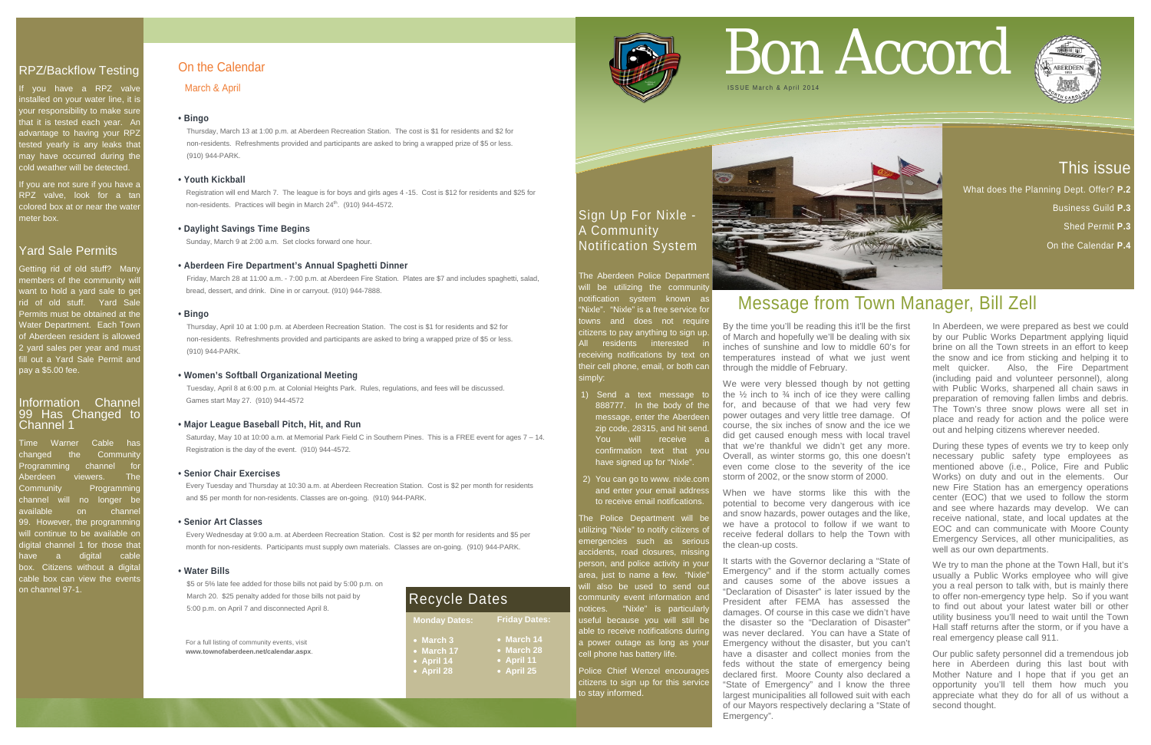# This issue

What does the Planning Dept. Offer? **P.2** 

Business Guild **P.3**

Shed Permit **P.3**

On the Calendar **P.4**

## RPZ/Backflow Testing

you have a RPZ valve nstalled on your water line, it is your responsibility to make sure that it is tested each year. Ar advantage to having your RPZ tested yearly is any leaks that may have occurred during the cold weather will be detected.

# Information Channel 99 Has Changed to<br>Channel 1

If you are not sure if you have a RPZ valve, look for a tan colored box at or near the wate meter box.

## Yard Sale Permits

Getting rid of old stuff? Many members of the community will want to hold a yard sale to ge rid of old stuff. Yard Sale Permits must be obtained at the Water Department. Each Town of Aberdeen resident is allowed 2 yard sales per year and must ill out a Yard Sale Permit and pay a \$5.00 fee.

Time Warner Cable has changed the Community Programming channel berdeen viewers. The Community Programming channel will no longer be available on channe 99. However, the programming will continue to be available or digital channel 1 for those tha have a digital cable box. Citizens without a digital cable box can view the event on channel 97-1.

> Police Chief Wenzel encourages citizens to sign up for this service to stay informed.



# Sign Up For Nixle - A Community Notification System

 Registration will end March 7. The league is for boys and girls ages 4 -15. Cost is \$12 for residents and \$25 for non-residents. Practices will begin in March 24th. (910) 944-4572.

> The Aberdeen Police Department will be utilizing the community notification system known as Nixle". "Nixle" is a free service for towns and does not require citizens to pay anything to sign up. All residents interested i receiving notifications by text on their cell phone, email, or both can simply:

- 1) Send a text message to 888777. In the body of the message, enter the Aberdee zip code, 28315, and hit send. You will receive confirmation text that you have signed up for "Nixle".
- 2) You can go to www. nixle.com and enter your email addres to receive email notifications.

The Police Department will be utilizing "Nixle" to notify citizens of emergencies such as serious accidents, road closures, missing person, and police activity in you area, just to name a few. "Nixle vill also be used to send out community event information and notices. "Nixle" is particularl useful because you will still be able to receive notifications during a power outage as long as your cell phone has battery life.

For a full listing of community events, visit **www.townofaberdeen.net/calendar.aspx**.

## On the Calendar

March & April

## **• Bingo**

We were very blessed though by not getting the  $\frac{1}{2}$  inch to  $\frac{3}{4}$  inch of ice they were calling for, and because of that we had very few power outages and very little tree damage. Of course, the six inches of snow and the ice we did get caused enough mess with local travel that we're thankful we didn't get any more. Overall, as winter storms go, this one doesn't even come close to the severity of the ice storm of 2002, or the snow storm of 2000.

Thursday, March 13 at 1:00 p.m. at Aberdeen Recreation Station. The cost is \$1 for residents and \$2 for non-residents. Refreshments provided and participants are asked to bring a wrapped prize of \$5 or less. (910) 944-PARK.

## **• Youth Kickball**

## **• Daylight Savings Time Begins**

Sunday, March 9 at 2:00 a.m. Set clocks forward one hour.

## **• Aberdeen Fire Department's Annual Spaghetti Dinner**

Friday, March 28 at 11:00 a.m. - 7:00 p.m. at Aberdeen Fire Station. Plates are \$7 and includes spaghetti, salad, bread, dessert, and drink. Dine in or carryout. (910) 944-7888.

## **• Bingo**

Thursday, April 10 at 1:00 p.m. at Aberdeen Recreation Station. The cost is \$1 for residents and \$2 for non-residents. Refreshments provided and participants are asked to bring a wrapped prize of \$5 or less. (910) 944-PARK.

## **• Women's Softball Organizational Meeting**

Tuesday, April 8 at 6:00 p.m. at Colonial Heights Park. Rules, regulations, and fees will be discussed. Games start May 27. (910) 944-4572

## **• Major League Baseball Pitch, Hit, and Run**

 Saturday, May 10 at 10:00 a.m. at Memorial Park Field C in Southern Pines. This is a FREE event for ages 7 – 14. Registration is the day of the event. (910) 944-4572.

#### **• Senior Chair Exercises**

Every Tuesday and Thursday at 10:30 a.m. at Aberdeen Recreation Station. Cost is \$2 per month for residents and \$5 per month for non-residents. Classes are on-going. (910) 944-PARK.

#### **• Senior Art Classes**

 Every Wednesday at 9:00 a.m. at Aberdeen Recreation Station. Cost is \$2 per month for residents and \$5 per month for non-residents. Participants must supply own materials. Classes are on-going. (910) 944-PARK.

#### **• Water Bills**

\$5 or 5% late fee added for those bills not paid by 5:00 p.m. on March 20. \$25 penalty added for those bills not paid by 5:00 p.m. on April 7 and disconnected April 8.

# Bon Accord



# Message from Town Manager, Bill Zell

By the time you'll be reading this it'll be the first of March and hopefully we'll be dealing with six inches of sunshine and low to middle 60's for temperatures instead of what we just went through the middle of February.

When we have storms like this with the potential to become very dangerous with ice and snow hazards, power outages and the like, we have a protocol to follow if we want to receive federal dollars to help the Town with the clean-up costs.

It starts with the Governor declaring a "State of Emergency" and if the storm actually comes and causes some of the above issues a "Declaration of Disaster" is later issued by the President after FEMA has assessed the damages. Of course in this case we didn't have the disaster so the "Declaration of Disaster" was never declared. You can have a State of Emergency without the disaster, but you can't have a disaster and collect monies from the feds without the state of emergency being declared first. Moore County also declared a "State of Emergency" and I know the three largest municipalities all followed suit with each of our Mayors respectively declaring a "State of Emergency".

In Aberdeen, we were prepared as best we could by our Public Works Department applying liquid brine on all the Town streets in an effort to keep the snow and ice from sticking and helping it to melt quicker. Also, the Fire Department (including paid and volunteer personnel), along with Public Works, sharpened all chain saws in preparation of removing fallen limbs and debris. The Town's three snow plows were all set in place and ready for action and the police were out and helping citizens wherever needed.

During these types of events we try to keep only necessary public safety type employees as mentioned above (i.e., Police, Fire and Public Works) on duty and out in the elements. Our new Fire Station has an emergency operations center (EOC) that we used to follow the storm and see where hazards may develop. We can receive national, state, and local updates at the EOC and can communicate with Moore County Emergency Services, all other municipalities, as well as our own departments.

We try to man the phone at the Town Hall, but it's usually a Public Works employee who will give you a real person to talk with, but is mainly there to offer non-emergency type help. So if you want to find out about your latest water bill or other utility business you'll need to wait until the Town Hall staff returns after the storm, or if you have a real emergency please call 911.

Our public safety personnel did a tremendous job here in Aberdeen during this last bout with Mother Nature and I hope that if you get an opportunity you'll tell them how much you appreciate what they do for all of us without a second thought.



| <b>Monday Dates:</b> | <b>Friday Dates:</b> |
|----------------------|----------------------|
| $\bullet$ March 3    | $\bullet$ March 14   |
| • March 17           | • March 28           |
| • April 14           | • April 11           |
| • April 28           | • April 25           |
|                      |                      |



# Recycle Dates